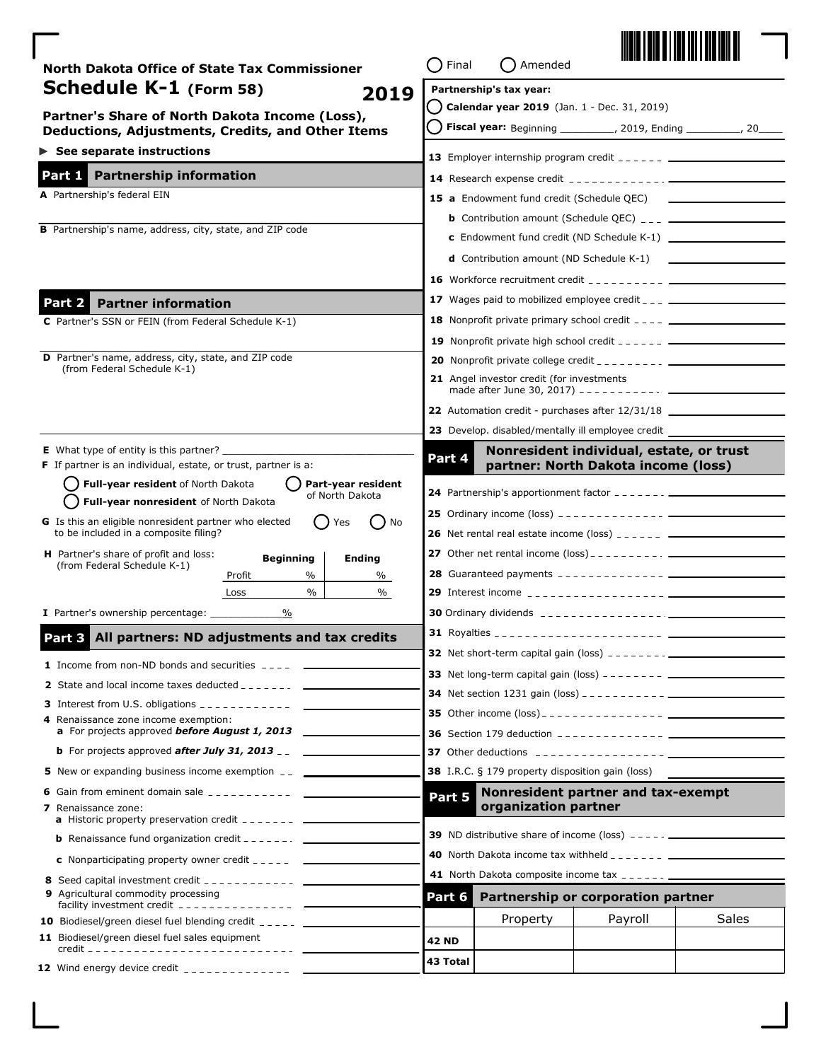| North Dakota Office of State Tax Commissioner                                                                                              | Final                                        | Amended                                                                                                                                                                                                                                                                                                                                                        |                                                                                                                                                                                                                                                                                                |       |
|--------------------------------------------------------------------------------------------------------------------------------------------|----------------------------------------------|----------------------------------------------------------------------------------------------------------------------------------------------------------------------------------------------------------------------------------------------------------------------------------------------------------------------------------------------------------------|------------------------------------------------------------------------------------------------------------------------------------------------------------------------------------------------------------------------------------------------------------------------------------------------|-------|
| <b>Schedule K-1</b> (Form 58)<br>2019                                                                                                      |                                              | Partnership's tax year:                                                                                                                                                                                                                                                                                                                                        |                                                                                                                                                                                                                                                                                                |       |
| Partner's Share of North Dakota Income (Loss),                                                                                             |                                              | Calendar year 2019 (Jan. 1 - Dec. 31, 2019)                                                                                                                                                                                                                                                                                                                    |                                                                                                                                                                                                                                                                                                |       |
| Deductions, Adjustments, Credits, and Other Items                                                                                          |                                              |                                                                                                                                                                                                                                                                                                                                                                | Fiscal year: Beginning __________, 2019, Ending _________, 20                                                                                                                                                                                                                                  |       |
| $\triangleright$ See separate instructions                                                                                                 |                                              |                                                                                                                                                                                                                                                                                                                                                                | <b>13</b> Employer internship program credit $\frac{1}{2}$ = $\frac{1}{2}$ = $\frac{1}{2}$ = $\frac{1}{2}$ = $\frac{1}{2}$                                                                                                                                                                     |       |
| <b>Partnership information</b><br>Part 1                                                                                                   |                                              |                                                                                                                                                                                                                                                                                                                                                                |                                                                                                                                                                                                                                                                                                |       |
| A Partnership's federal EIN                                                                                                                |                                              |                                                                                                                                                                                                                                                                                                                                                                |                                                                                                                                                                                                                                                                                                |       |
|                                                                                                                                            |                                              |                                                                                                                                                                                                                                                                                                                                                                | <b>b</b> Contribution amount (Schedule QEC) $_{--}$ $_{--}$ _______________________________                                                                                                                                                                                                    |       |
| <b>B</b> Partnership's name, address, city, state, and ZIP code                                                                            |                                              |                                                                                                                                                                                                                                                                                                                                                                | <b>c</b> Endowment fund credit (ND Schedule K-1) $\frac{1}{2}$                                                                                                                                                                                                                                 |       |
|                                                                                                                                            |                                              |                                                                                                                                                                                                                                                                                                                                                                | <b>d</b> Contribution amount (ND Schedule $K-1$ ) $\qquad \qquad$                                                                                                                                                                                                                              |       |
|                                                                                                                                            |                                              |                                                                                                                                                                                                                                                                                                                                                                |                                                                                                                                                                                                                                                                                                |       |
| <b>Partner information</b><br>Part 2                                                                                                       |                                              |                                                                                                                                                                                                                                                                                                                                                                | <b>17</b> Wages paid to mobilized employee credit $\frac{1}{2}$ $\frac{1}{2}$                                                                                                                                                                                                                  |       |
| C Partner's SSN or FEIN (from Federal Schedule K-1)                                                                                        |                                              |                                                                                                                                                                                                                                                                                                                                                                | <b>18</b> Nonprofit private primary school credit $---$ ________________________________                                                                                                                                                                                                       |       |
|                                                                                                                                            |                                              |                                                                                                                                                                                                                                                                                                                                                                | <b>19</b> Nonprofit private high school credit $-- ---$                                                                                                                                                                                                                                        |       |
| D Partner's name, address, city, state, and ZIP code                                                                                       |                                              |                                                                                                                                                                                                                                                                                                                                                                |                                                                                                                                                                                                                                                                                                |       |
| (from Federal Schedule K-1)                                                                                                                |                                              | 21 Angel investor credit (for investments                                                                                                                                                                                                                                                                                                                      | made after June 30, 2017) - - - - - - - - - - - $\sqrt{2}$                                                                                                                                                                                                                                     |       |
|                                                                                                                                            |                                              |                                                                                                                                                                                                                                                                                                                                                                | <b>22</b> Automation credit - purchases after 12/31/18 _______________________________                                                                                                                                                                                                         |       |
|                                                                                                                                            |                                              |                                                                                                                                                                                                                                                                                                                                                                | 23 Develop. disabled/mentally ill employee credit                                                                                                                                                                                                                                              |       |
| <b>E</b> What type of entity is this partner?<br><b>F</b> If partner is an individual, estate, or trust, partner is a:                     | Part 4                                       |                                                                                                                                                                                                                                                                                                                                                                | Nonresident individual, estate, or trust<br>partner: North Dakota income (loss)                                                                                                                                                                                                                |       |
| Full-year resident of North Dakota<br>Part-year resident                                                                                   |                                              |                                                                                                                                                                                                                                                                                                                                                                |                                                                                                                                                                                                                                                                                                |       |
| of North Dakota<br>Full-year nonresident of North Dakota                                                                                   |                                              |                                                                                                                                                                                                                                                                                                                                                                | <b>24</b> Partnership's apportionment factor $\frac{1}{2}$ = $\frac{1}{2}$ = $\frac{1}{2}$ = $\frac{1}{2}$                                                                                                                                                                                     |       |
| G Is this an eligible nonresident partner who elected<br>D No<br>Yes<br>to be included in a composite filing?                              |                                              |                                                                                                                                                                                                                                                                                                                                                                | <b>26</b> Net rental real estate income (loss) $\frac{1}{2}$ = $\frac{1}{2}$ = $\frac{1}{2}$ = $\frac{1}{2}$ = $\frac{1}{2}$ = $\frac{1}{2}$ = $\frac{1}{2}$ = $\frac{1}{2}$ = $\frac{1}{2}$ = $\frac{1}{2}$ = $\frac{1}{2}$ = $\frac{1}{2}$ = $\frac{1}{2}$ = $\frac{1}{2}$ = $\frac{1}{2}$ = |       |
| <b>H</b> Partner's share of profit and loss:                                                                                               |                                              |                                                                                                                                                                                                                                                                                                                                                                |                                                                                                                                                                                                                                                                                                |       |
| <b>Beginning</b><br><b>Ending</b><br>(from Federal Schedule K-1)<br>$\%$<br>Profit<br>%                                                    |                                              |                                                                                                                                                                                                                                                                                                                                                                |                                                                                                                                                                                                                                                                                                |       |
| $\%$<br>$\%$<br>Loss                                                                                                                       |                                              |                                                                                                                                                                                                                                                                                                                                                                |                                                                                                                                                                                                                                                                                                |       |
| <b>I</b> Partner's ownership percentage:<br>%                                                                                              |                                              |                                                                                                                                                                                                                                                                                                                                                                |                                                                                                                                                                                                                                                                                                |       |
| Part 3 All partners: ND adjustments and tax credits                                                                                        |                                              |                                                                                                                                                                                                                                                                                                                                                                |                                                                                                                                                                                                                                                                                                |       |
|                                                                                                                                            |                                              |                                                                                                                                                                                                                                                                                                                                                                |                                                                                                                                                                                                                                                                                                |       |
| <b>1</b> Income from non-ND bonds and securities $---$                                                                                     |                                              |                                                                                                                                                                                                                                                                                                                                                                |                                                                                                                                                                                                                                                                                                |       |
|                                                                                                                                            |                                              |                                                                                                                                                                                                                                                                                                                                                                |                                                                                                                                                                                                                                                                                                |       |
| 4 Renaissance zone income exemption:                                                                                                       |                                              |                                                                                                                                                                                                                                                                                                                                                                |                                                                                                                                                                                                                                                                                                |       |
| <b>a</b> For projects approved <b>before August 1, 2013</b>                                                                                |                                              |                                                                                                                                                                                                                                                                                                                                                                |                                                                                                                                                                                                                                                                                                |       |
| <b>b</b> For projects approved <b>after July 31, 2013</b> __ $\frac{1}{2}$                                                                 |                                              |                                                                                                                                                                                                                                                                                                                                                                |                                                                                                                                                                                                                                                                                                |       |
| 5 New or expanding business income exemption __ ________________________________                                                           |                                              | <b>38</b> I.R.C. § 179 property disposition gain (loss)                                                                                                                                                                                                                                                                                                        |                                                                                                                                                                                                                                                                                                |       |
| <b>6</b> Gain from eminent domain sale $\frac{1}{2}$                                                                                       | Nonresident partner and tax-exempt<br>Part 5 |                                                                                                                                                                                                                                                                                                                                                                |                                                                                                                                                                                                                                                                                                |       |
| <b>7</b> Renaissance zone:<br><b>a</b> Historic property preservation credit $\frac{1}{2}$ = $\frac{1}{2}$ = $\frac{1}{2}$ = $\frac{1}{2}$ |                                              | organization partner                                                                                                                                                                                                                                                                                                                                           |                                                                                                                                                                                                                                                                                                |       |
| <b>b</b> Renaissance fund organization credit $\frac{1}{2}$ = $\frac{1}{2}$ = $\frac{1}{2}$ = $\frac{1}{2}$                                |                                              |                                                                                                                                                                                                                                                                                                                                                                |                                                                                                                                                                                                                                                                                                |       |
| <b>c</b> Nonparticipating property owner credit $\frac{1}{2}$                                                                              |                                              | <b>40</b> North Dakota income tax withheld $\overline{a}$ $\overline{a}$ $\overline{a}$ $\overline{a}$ $\overline{a}$ $\overline{a}$ $\overline{a}$ $\overline{a}$ $\overline{a}$ $\overline{a}$ $\overline{a}$ $\overline{a}$ $\overline{a}$ $\overline{a}$ $\overline{a}$ $\overline{a}$ $\overline{a}$ $\overline{a}$ $\overline{a}$ $\overline{a}$ $\over$ |                                                                                                                                                                                                                                                                                                |       |
|                                                                                                                                            |                                              |                                                                                                                                                                                                                                                                                                                                                                |                                                                                                                                                                                                                                                                                                |       |
| 9 Agricultural commodity processing                                                                                                        | Part 6                                       |                                                                                                                                                                                                                                                                                                                                                                | Partnership or corporation partner                                                                                                                                                                                                                                                             |       |
| 10 Biodiesel/green diesel fuel blending credit _____ ____                                                                                  |                                              | Property                                                                                                                                                                                                                                                                                                                                                       | Payroll                                                                                                                                                                                                                                                                                        | Sales |
| 11 Biodiesel/green diesel fuel sales equipment                                                                                             | <b>42 ND</b>                                 |                                                                                                                                                                                                                                                                                                                                                                |                                                                                                                                                                                                                                                                                                |       |
|                                                                                                                                            | 43 Total                                     |                                                                                                                                                                                                                                                                                                                                                                |                                                                                                                                                                                                                                                                                                |       |
|                                                                                                                                            |                                              |                                                                                                                                                                                                                                                                                                                                                                |                                                                                                                                                                                                                                                                                                |       |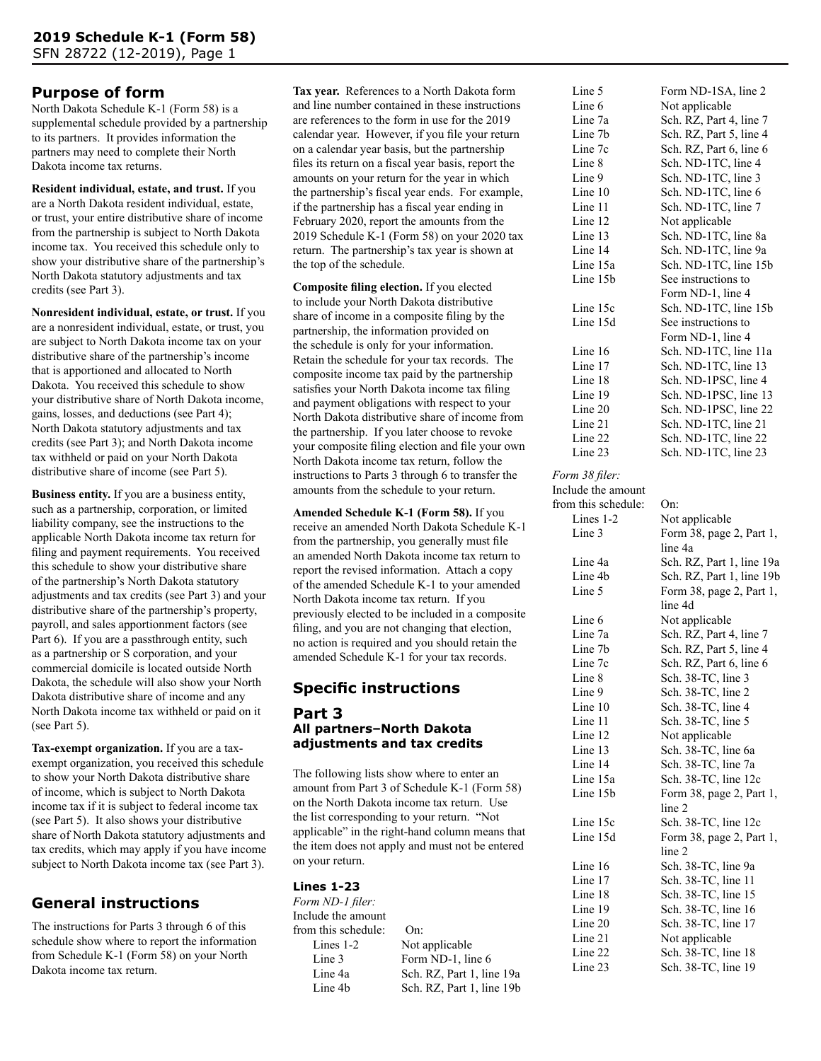# **Purpose of form**

North Dakota Schedule K-1 (Form 58) is a supplemental schedule provided by a partnership to its partners. It provides information the partners may need to complete their North Dakota income tax returns.

**Resident individual, estate, and trust.** If you are a North Dakota resident individual, estate, or trust, your entire distributive share of income from the partnership is subject to North Dakota income tax. You received this schedule only to show your distributive share of the partnership's North Dakota statutory adjustments and tax credits (see Part 3).

**Nonresident individual, estate, or trust.** If you are a nonresident individual, estate, or trust, you are subject to North Dakota income tax on your distributive share of the partnership's income that is apportioned and allocated to North Dakota. You received this schedule to show your distributive share of North Dakota income, gains, losses, and deductions (see Part 4); North Dakota statutory adjustments and tax credits (see Part 3); and North Dakota income tax withheld or paid on your North Dakota distributive share of income (see Part 5).

**Business entity.** If you are a business entity, such as a partnership, corporation, or limited liability company, see the instructions to the applicable North Dakota income tax return for filing and payment requirements. You received this schedule to show your distributive share of the partnership's North Dakota statutory adjustments and tax credits (see Part 3) and your distributive share of the partnership's property, payroll, and sales apportionment factors (see Part 6). If you are a passthrough entity, such as a partnership or S corporation, and your commercial domicile is located outside North Dakota, the schedule will also show your North Dakota distributive share of income and any North Dakota income tax withheld or paid on it (see Part 5).

**Tax-exempt organization.** If you are a taxexempt organization, you received this schedule to show your North Dakota distributive share of income, which is subject to North Dakota income tax if it is subject to federal income tax (see Part 5). It also shows your distributive share of North Dakota statutory adjustments and tax credits, which may apply if you have income subject to North Dakota income tax (see Part 3).

# **General instructions**

The instructions for Parts 3 through 6 of this schedule show where to report the information from Schedule K-1 (Form 58) on your North Dakota income tax return.

**Tax year.** References to a North Dakota form and line number contained in these instructions are references to the form in use for the 2019 calendar year. However, if you file your return on a calendar year basis, but the partnership files its return on a fiscal year basis, report the amounts on your return for the year in which the partnership's fiscal year ends. For example, if the partnership has a fiscal year ending in February 2020, report the amounts from the 2019 Schedule K-1 (Form 58) on your 2020 tax return. The partnership's tax year is shown at the top of the schedule.

**Composite filing election.** If you elected to include your North Dakota distributive share of income in a composite filing by the partnership, the information provided on the schedule is only for your information. Retain the schedule for your tax records. The composite income tax paid by the partnership satisfies your North Dakota income tax filing and payment obligations with respect to your North Dakota distributive share of income from the partnership. If you later choose to revoke your composite filing election and file your own North Dakota income tax return, follow the instructions to Parts 3 through 6 to transfer the amounts from the schedule to your return.

**Amended Schedule K-1 (Form 58).** If you receive an amended North Dakota Schedule K-1 from the partnership, you generally must file an amended North Dakota income tax return to report the revised information. Attach a copy of the amended Schedule K-1 to your amended North Dakota income tax return. If you previously elected to be included in a composite filing, and you are not changing that election, no action is required and you should retain the amended Schedule K-1 for your tax records.

# **Specific instructions**

## **Part 3 All partners–North Dakota adjustments and tax credits**

The following lists show where to enter an amount from Part 3 of Schedule K-1 (Form 58) on the North Dakota income tax return. Use the list corresponding to your return. "Not applicable" in the right-hand column means that the item does not apply and must not be entered on your return.

# **Lines 1-23**

*Form ND-1 filer:* Include the amount from this schedule: On: Lines 1-2 Not applicable Line 3 Form ND-1, line 6 Line 4a Sch. RZ, Part 1, line 19a Line 4b Sch. RZ, Part 1, line 19b Line 5 Form ND-1SA, line 2 Line 6 Not applicable Line 7a Sch. RZ, Part 4, line 7 Line 7b Sch. RZ, Part 5, line 4 Line 7c Sch. RZ, Part 6, line 6 Line 8 Sch. ND-1TC, line 4 Line 9 Sch. ND-1TC, line 3 Line 10 Sch. ND-1TC, line 6<br>Line 11 Sch. ND-1TC, line 7 Line 11 Sch. ND-1TC, line 7<br>Line 12 Not applicable Not applicable Line 13 Sch. ND-1TC, line 8a Line 14 Sch. ND-1TC, line 9a Line 15a Sch. ND-1TC, line 15b Line 15b See instructions to Form ND-1, line 4 Line 15c Sch. ND-1TC, line 15b Line 15d See instructions to Form ND-1, line 4 Line 16 Sch. ND-1TC, line 11a Line 17 Sch. ND-1TC, line 13 Line 18 Sch. ND-1PSC, line 4 Line 19 Sch. ND-1PSC, line 13 Line 20 Sch. ND-1PSC, line 22 Line 21 Sch. ND-1TC, line 21 Line 22 Sch. ND-1TC, line 22 Line 23 Sch. ND-1TC, line 23

#### *Form 38 filer:*

Include the amount from this schedule: On: Lines 1-2 Not applicable Line 3 Form 38, page 2, Part 1, line 4a Line 4a Sch. RZ, Part 1, line 19a Line 4b Sch. RZ, Part 1, line 19b Line 5 Form 38, page 2, Part 1, line 4d Line 6 Not applicable Line 7a Sch. RZ, Part 4, line 7 Line 7b Sch. RZ, Part 5, line 4 Line 7c Sch. RZ, Part 6, line 6 Line 8 Sch. 38-TC, line 3 Line 9 Sch. 38-TC, line 2 Line 10 Sch. 38-TC, line 4 Line 11 Sch. 38-TC, line 5 Line 12 Not applicable<br>Line 13 Sch. 38-TC, line Sch. 38-TC, line 6a Line 14 Sch. 38-TC, line 7a Line 15a Sch. 38-TC, line 12c Line 15b Form 38, page 2, Part 1, line 2 Line 15c Sch. 38-TC, line 12c Line 15d Form 38, page 2, Part 1, line 2 Line 16 Sch. 38-TC, line 9a Line 17 Sch. 38-TC, line 11 Line 18 Sch. 38-TC, line 15 Line 19 Sch. 38-TC, line 16 Line 20 Sch. 38-TC, line 17 Line 21 Not applicable Line 22 Sch. 38-TC, line 18 Line 23 Sch. 38-TC, line 19